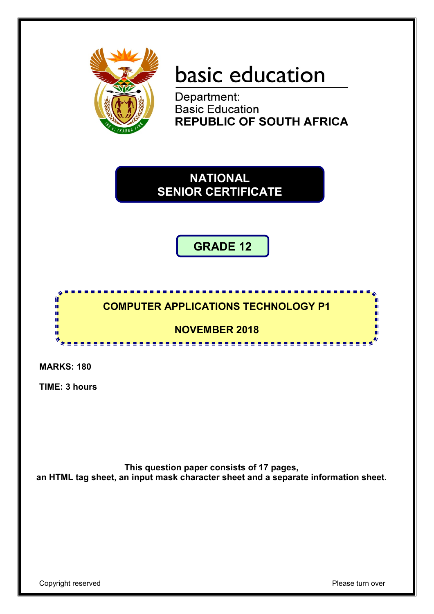

## basic education

Department: **Basic Education REPUBLIC OF SOUTH AFRICA** 

**NATIONAL SENIOR CERTIFICATE**

**GRADE 12**

#### <u>,,,,,,,,,,,,,,,,,,,,,,,</u>  $\mathbf{r}$ **COMPUTER APPLICATIONS TECHNOLOGY P1**  í. ΙÚ, ú. ıĖ. **NOVEMBER 2018** m

**MARKS: 180**

**TIME: 3 hours** 

**This question paper consists of 17 pages, an HTML tag sheet, an input mask character sheet and a separate information sheet.**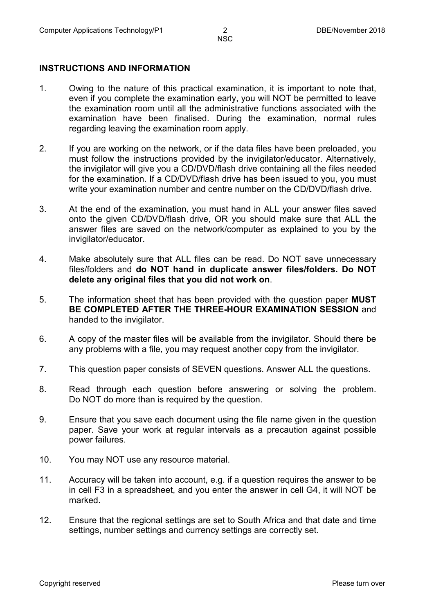#### **INSTRUCTIONS AND INFORMATION**

- 1. Owing to the nature of this practical examination, it is important to note that, even if you complete the examination early, you will NOT be permitted to leave the examination room until all the administrative functions associated with the examination have been finalised. During the examination, normal rules regarding leaving the examination room apply.
- 2. If you are working on the network, or if the data files have been preloaded, you must follow the instructions provided by the invigilator/educator. Alternatively, the invigilator will give you a CD/DVD/flash drive containing all the files needed for the examination. If a CD/DVD/flash drive has been issued to you, you must write your examination number and centre number on the CD/DVD/flash drive.
- 3. At the end of the examination, you must hand in ALL your answer files saved onto the given CD/DVD/flash drive, OR you should make sure that ALL the answer files are saved on the network/computer as explained to you by the invigilator/educator.
- 4. Make absolutely sure that ALL files can be read. Do NOT save unnecessary files/folders and **do NOT hand in duplicate answer files/folders. Do NOT delete any original files that you did not work on**.
- 5. The information sheet that has been provided with the question paper **MUST BE COMPLETED AFTER THE THREE-HOUR EXAMINATION SESSION** and handed to the invigilator.
- 6. A copy of the master files will be available from the invigilator. Should there be any problems with a file, you may request another copy from the invigilator.
- 7. This question paper consists of SEVEN questions. Answer ALL the questions.
- 8. Read through each question before answering or solving the problem. Do NOT do more than is required by the question.
- 9. Ensure that you save each document using the file name given in the question paper. Save your work at regular intervals as a precaution against possible power failures.
- 10. You may NOT use any resource material.
- 11. Accuracy will be taken into account, e.g. if a question requires the answer to be in cell F3 in a spreadsheet, and you enter the answer in cell G4, it will NOT be marked.
- 12. Ensure that the regional settings are set to South Africa and that date and time settings, number settings and currency settings are correctly set.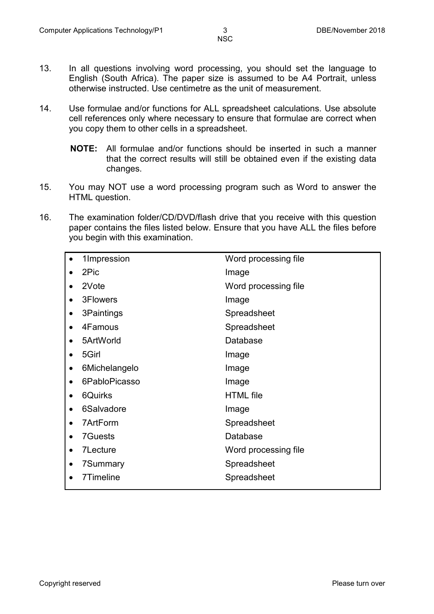- 13. In all questions involving word processing, you should set the language to English (South Africa). The paper size is assumed to be A4 Portrait, unless otherwise instructed. Use centimetre as the unit of measurement.
- 14. Use formulae and/or functions for ALL spreadsheet calculations. Use absolute cell references only where necessary to ensure that formulae are correct when you copy them to other cells in a spreadsheet.
	- **NOTE:** All formulae and/or functions should be inserted in such a manner that the correct results will still be obtained even if the existing data changes.
- 15. You may NOT use a word processing program such as Word to answer the HTML question.
- 16. The examination folder/CD/DVD/flash drive that you receive with this question paper contains the files listed below. Ensure that you have ALL the files before you begin with this examination.

| 1Impression             | Word processing file |
|-------------------------|----------------------|
| 2Pic                    | Image                |
| 2Vote                   | Word processing file |
| 3Flowers                | Image                |
| 3Paintings<br>$\bullet$ | Spreadsheet          |
| 4Famous                 | Spreadsheet          |
| 5ArtWorld               | Database             |
| 5Girl                   | Image                |
| 6Michelangelo<br>٠      | Image                |
| 6PabloPicasso           | Image                |
| 6Quirks                 | <b>HTML</b> file     |
| 6Salvadore              | Image                |
| 7ArtForm                | Spreadsheet          |
| <b>7Guests</b>          | Database             |
| 7Lecture<br>٠           | Word processing file |
| 7Summary                | Spreadsheet          |
| 7Timeline               | Spreadsheet          |
|                         |                      |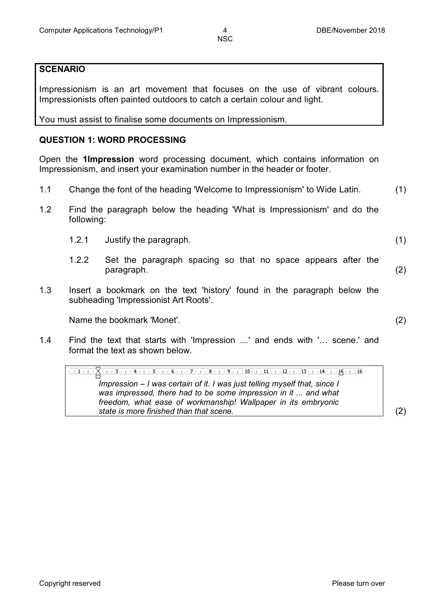#### **SCENARIO**

Impressionism is an art movement that focuses on the use of vibrant colours. Impressionists often painted outdoors to catch a certain colour and light.

You must assist to finalise some documents on Impressionism.

#### **QUESTION 1: WORD PROCESSING**

Open the **1Impression** word processing document, which contains information on Impressionism, and insert your examination number in the header or footer.

- 1.1 Change the font of the heading 'Welcome to Impressionism' to Wide Latin. (1)
- 1.2 Find the paragraph below the heading 'What is Impressionism' and do the following:
	- 1.2.1 Justify the paragraph. (1)
	- 1.2.2 Set the paragraph spacing so that no space appears after the
		- paragraph. (2)
- 1.3 Insert a bookmark on the text 'history' found in the paragraph below the subheading 'Impressionist Art Roots'.

Name the bookmark 'Monet'. (2)

1.4 Find the text that starts with 'Impression …' and ends with '… scene.' and format the text as shown below.

*Impression – I was certain of it. I was just telling myself that, since I was impressed, there had to be some impression in it ... and what freedom, what ease of workmanship! Wallpaper in its embryonic state is more finished than that scene.* (2)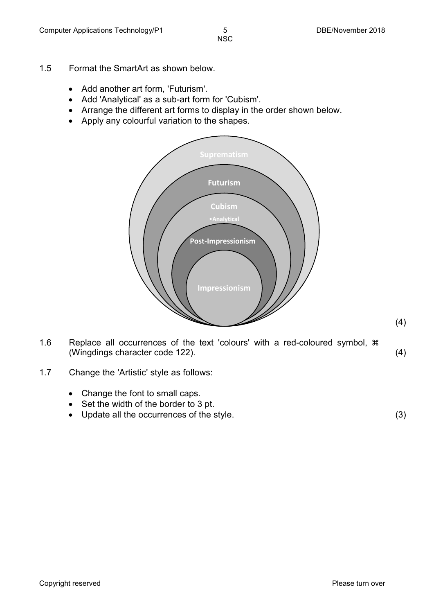- 1.5 Format the SmartArt as shown below.
	- Add another art form, 'Futurism'.
	- Add 'Analytical' as a sub-art form for 'Cubism'.
	- Arrange the different art forms to display in the order shown below.
	- Apply any colourful variation to the shapes.



- 1.6 Replace all occurrences of the text 'colours' with a red-coloured symbol,  $*$ (Wingdings character code 122). (4)
- 1.7 Change the 'Artistic' style as follows:
	- Change the font to small caps.
	- Set the width of the border to 3 pt.
	- Update all the occurrences of the style. (3)

(4)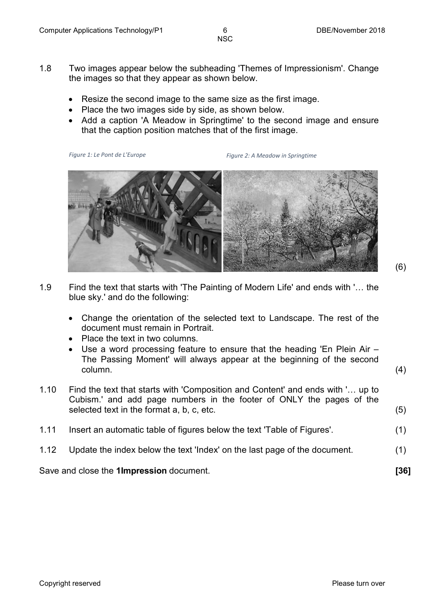- 1.8 Two images appear below the subheading 'Themes of Impressionism'. Change the images so that they appear as shown below.
	- Resize the second image to the same size as the first image.
	- Place the two images side by side, as shown below.
	- Add a caption 'A Meadow in Springtime' to the second image and ensure that the caption position matches that of the first image.

*Figure 1: Le Pont de L'Europe*

*Figure 2: A Meadow in Springtime*



- 1.9 Find the text that starts with 'The Painting of Modern Life' and ends with '… the blue sky.' and do the following:
	- Change the orientation of the selected text to Landscape. The rest of the document must remain in Portrait.
	- Place the text in two columns.
	- Use a word processing feature to ensure that the heading 'En Plein Air The Passing Moment' will always appear at the beginning of the second  $\mathsf{column}. \tag{4}$
- 1.10 Find the text that starts with 'Composition and Content' and ends with '… up to Cubism.' and add page numbers in the footer of ONLY the pages of the selected text in the format a, b, c, etc. (5)
- 1.11 Insert an automatic table of figures below the text 'Table of Figures'. (1)
- 1.12 Update the index below the text 'Index' on the last page of the document. (1)

Save and close the **1Impression** document. **[36]**

(6)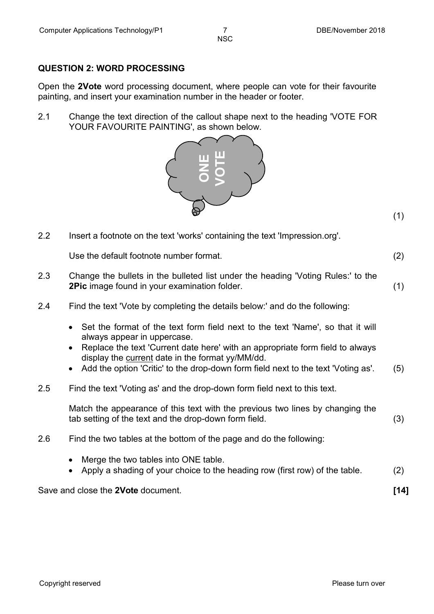#### **QUESTION 2: WORD PROCESSING**

Open the **2Vote** word processing document, where people can vote for their favourite painting, and insert your examination number in the header or footer.

2.1 Change the text direction of the callout shape next to the heading 'VOTE FOR YOUR FAVOURITE PAINTING', as shown below.



|     |                                                                                                                                                                                                                                                                                                                                         | (1)  |
|-----|-----------------------------------------------------------------------------------------------------------------------------------------------------------------------------------------------------------------------------------------------------------------------------------------------------------------------------------------|------|
| 2.2 | Insert a footnote on the text 'works' containing the text 'Impression.org'.                                                                                                                                                                                                                                                             |      |
|     | Use the default footnote number format.                                                                                                                                                                                                                                                                                                 | (2)  |
| 2.3 | Change the bullets in the bulleted list under the heading 'Voting Rules:' to the<br>2Pic image found in your examination folder.                                                                                                                                                                                                        | (1)  |
| 2.4 | Find the text 'Vote by completing the details below:' and do the following:                                                                                                                                                                                                                                                             |      |
|     | Set the format of the text form field next to the text 'Name', so that it will<br>always appear in uppercase.<br>Replace the text 'Current date here' with an appropriate form field to always<br>display the current date in the format yy/MM/dd.<br>Add the option 'Critic' to the drop-down form field next to the text 'Voting as'. | (5)  |
| 2.5 | Find the text 'Voting as' and the drop-down form field next to this text.                                                                                                                                                                                                                                                               |      |
|     | Match the appearance of this text with the previous two lines by changing the<br>tab setting of the text and the drop-down form field.                                                                                                                                                                                                  | (3)  |
| 2.6 | Find the two tables at the bottom of the page and do the following:                                                                                                                                                                                                                                                                     |      |
|     | Merge the two tables into ONE table.<br>Apply a shading of your choice to the heading row (first row) of the table.                                                                                                                                                                                                                     | (2)  |
|     | Save and close the 2Vote document.                                                                                                                                                                                                                                                                                                      | [14] |

- Merge the two tables into ONE table.
- Apply a shading of your choice to the heading row (first row) of the table. (2)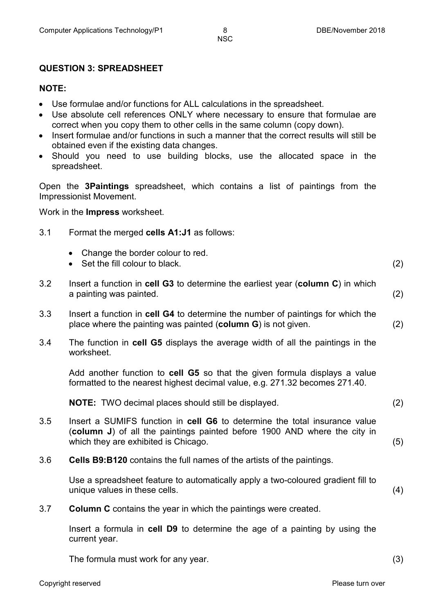#### **QUESTION 3: SPREADSHEET**

#### **NOTE:**

- Use formulae and/or functions for ALL calculations in the spreadsheet.
- Use absolute cell references ONLY where necessary to ensure that formulae are correct when you copy them to other cells in the same column (copy down).
- Insert formulae and/or functions in such a manner that the correct results will still be obtained even if the existing data changes.
- Should you need to use building blocks, use the allocated space in the spreadsheet.

Open the **3Paintings** spreadsheet, which contains a list of paintings from the Impressionist Movement.

Work in the **Impress** worksheet.

- 3.1 Format the merged **cells A1:J1** as follows:
	- Change the border colour to red.
	- Set the fill colour to black. (2)
- 3.2 Insert a function in **cell G3** to determine the earliest year (**column C**) in which a painting was painted. (2)
- 3.3 Insert a function in **cell G4** to determine the number of paintings for which the place where the painting was painted (**column G**) is not given. (2)
- 3.4 The function in **cell G5** displays the average width of all the paintings in the worksheet.

Add another function to **cell G5** so that the given formula displays a value formatted to the nearest highest decimal value, e.g. 271.32 becomes 271.40.

**NOTE:** TWO decimal places should still be displayed. (2)

- 3.5 Insert a SUMIFS function in **cell G6** to determine the total insurance value (**column J**) of all the paintings painted before 1900 AND where the city in which they are exhibited is Chicago. (5)
- 3.6 **Cells B9:B120** contains the full names of the artists of the paintings.

Use a spreadsheet feature to automatically apply a two-coloured gradient fill to unique values in these cells. (4)

3.7 **Column C** contains the year in which the paintings were created.

Insert a formula in **cell D9** to determine the age of a painting by using the current year.

The formula must work for any year. (3)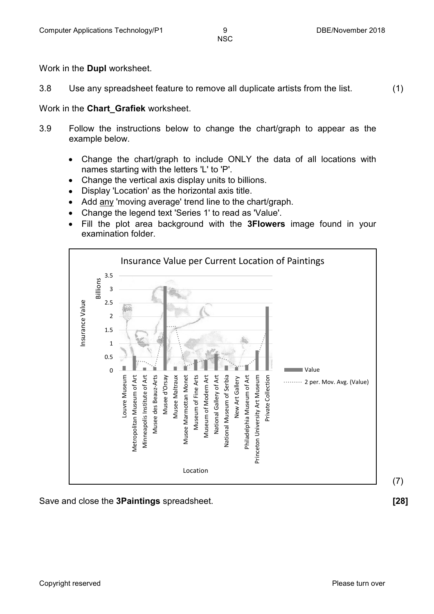Work in the **Dupl** worksheet.

3.8 Use any spreadsheet feature to remove all duplicate artists from the list. (1)

Work in the **Chart\_Grafiek** worksheet.

- 3.9 Follow the instructions below to change the chart/graph to appear as the example below.
	- Change the chart/graph to include ONLY the data of all locations with names starting with the letters 'L' to 'P'.
	- Change the vertical axis display units to billions.
	- Display 'Location' as the horizontal axis title.
	- Add any 'moving average' trend line to the chart/graph.
	- Change the legend text 'Series 1' to read as 'Value'.
	- Fill the plot area background with the **3Flowers** image found in your examination folder.



Save and close the **3Paintings** spreadsheet. **[28]**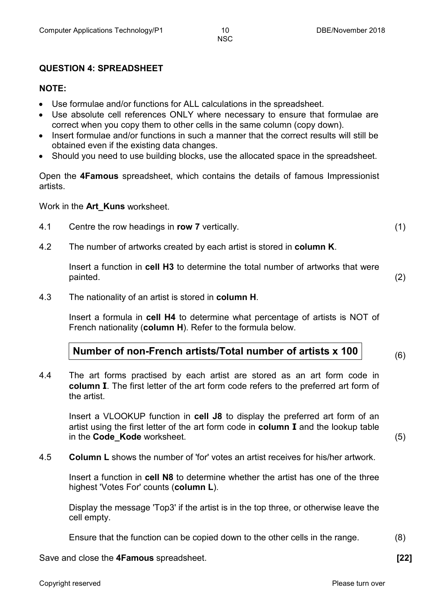#### **QUESTION 4: SPREADSHEET**

#### **NOTE:**

- Use formulae and/or functions for ALL calculations in the spreadsheet.
- Use absolute cell references ONLY where necessary to ensure that formulae are correct when you copy them to other cells in the same column (copy down).
- Insert formulae and/or functions in such a manner that the correct results will still be obtained even if the existing data changes.
- Should you need to use building blocks, use the allocated space in the spreadsheet.

Open the **4Famous** spreadsheet, which contains the details of famous Impressionist artists.

Work in the **Art\_Kuns** worksheet.

- 4.1 Centre the row headings in **row 7** vertically. (1)
- 4.2 The number of artworks created by each artist is stored in **column K**.

Insert a function in **cell H3** to determine the total number of artworks that were painted. (2)

4.3 The nationality of an artist is stored in **column H**.

Insert a formula in **cell H4** to determine what percentage of artists is NOT of French nationality (**column H**). Refer to the formula below.

#### **Number of non-French artists/Total number of artists x 100**

4.4 The art forms practised by each artist are stored as an art form code in **column I**. The first letter of the art form code refers to the preferred art form of the artist.

Insert a VLOOKUP function in **cell J8** to display the preferred art form of an artist using the first letter of the art form code in **column I** and the lookup table in the **Code Kode** worksheet. (5)

4.5 **Column L** shows the number of 'for' votes an artist receives for his/her artwork.

Insert a function in **cell N8** to determine whether the artist has one of the three highest 'Votes For' counts (**column L**).

Display the message 'Top3' if the artist is in the top three, or otherwise leave the cell empty.

Ensure that the function can be copied down to the other cells in the range. (8)

Save and close the **4Famous** spreadsheet. **[22]**

(6)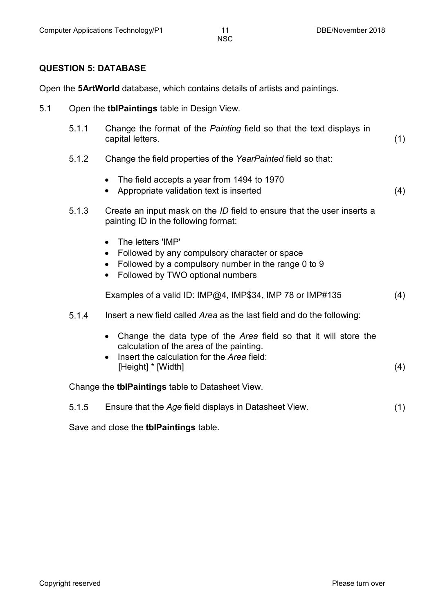#### **QUESTION 5: DATABASE**

Open the **5ArtWorld** database, which contains details of artists and paintings.

- 5.1 Open the **tblPaintings** table in Design View.
	- 5.1.1 Change the format of the *Painting* field so that the text displays in capital letters. (1)
	- 5.1.2 Change the field properties of the *YearPainted* field so that:
		- The field accepts a year from 1494 to 1970
		- Appropriate validation text is inserted (4)
	- 5.1.3 Create an input mask on the *ID* field to ensure that the user inserts a painting ID in the following format:
		- The letters 'IMP'
		- Followed by any compulsory character or space
		- Followed by a compulsory number in the range 0 to 9
		- Followed by TWO optional numbers

Examples of a valid ID: IMP@4, IMP\$34, IMP 78 or IMP#135 (4)

- 5.1.4 Insert a new field called *Area* as the last field and do the following:
	- Change the data type of the *Area* field so that it will store the calculation of the area of the painting.
	- Insert the calculation for the *Area* field: [Height] \* [Width] (4)

Change the **tblPaintings** table to Datasheet View.

| 5.1.5 | Ensure that the Age field displays in Datasheet View. |  |
|-------|-------------------------------------------------------|--|
|       |                                                       |  |

Save and close the **tblPaintings** table.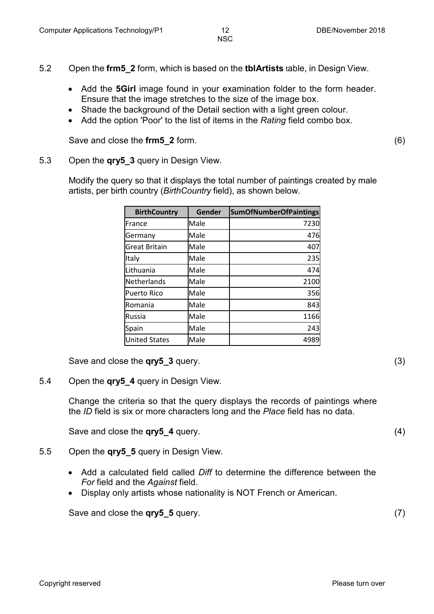- 5.2 Open the **frm5\_2** form, which is based on the **tblArtists** table, in Design View.
	- Add the **5Girl** image found in your examination folder to the form header. Ensure that the image stretches to the size of the image box.
	- Shade the background of the Detail section with a light green colour.
	- Add the option 'Poor' to the list of items in the *Rating* field combo box.

Save and close the **frm5\_2** form. (6)

#### 5.3 Open the **qry5\_3** query in Design View.

Modify the query so that it displays the total number of paintings created by male artists, per birth country (*BirthCountry* field), as shown below.

| <b>BirthCountry</b>  | Gender | <b>SumOfNumberOfPaintings</b> |
|----------------------|--------|-------------------------------|
| France               | Male   | 7230                          |
| Germany              | Male   | 476                           |
| <b>Great Britain</b> | Male   | 407                           |
| Italy                | Male   | 235                           |
| Lithuania            | Male   | 474                           |
| Netherlands          | Male   | 2100                          |
| <b>Puerto Rico</b>   | Male   | 356                           |
| Romania              | Male   | 843                           |
| <b>Russia</b>        | Male   | 1166                          |
| Spain                | Male   | 243                           |
| <b>United States</b> | Male   | 4989                          |

Save and close the **qry5\_3** query. (3)

5.4 Open the **qry5\_4** query in Design View.

Change the criteria so that the query displays the records of paintings where the *ID* field is six or more characters long and the *Place* field has no data.

Save and close the **qry5\_4** query. (4)

- 5.5 Open the **qry5\_5** query in Design View.
	- Add a calculated field called *Diff* to determine the difference between the *For* field and the *Against* field.
	- Display only artists whose nationality is NOT French or American.

Save and close the **qry5\_5** query. (7)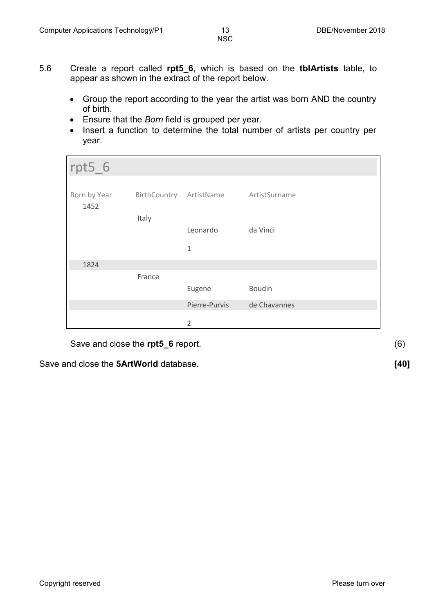- 5.6 Create a report called **rpt5\_6**, which is based on the **tblArtists** table, to appear as shown in the extract of the report below.
	- Group the report according to the year the artist was born AND the country of birth.
	- Ensure that the *Born* field is grouped per year.
	- Insert a function to determine the total number of artists per country per year.

| $rpt5_6$             |              |                          |               |
|----------------------|--------------|--------------------------|---------------|
| Born by Year<br>1452 | BirthCountry | ArtistName ArtistSurname |               |
|                      | Italy        | Leonardo                 | da Vinci      |
|                      |              | 1                        |               |
| 1824                 |              |                          |               |
|                      | France       |                          |               |
|                      |              | Eugene                   | <b>Boudin</b> |
|                      |              | Pierre-Purvis            | de Chavannes  |
|                      |              | $\overline{2}$           |               |

Save and close the **rpt5\_6** report. (6)

Save and close the **5ArtWorld** database. **[40]**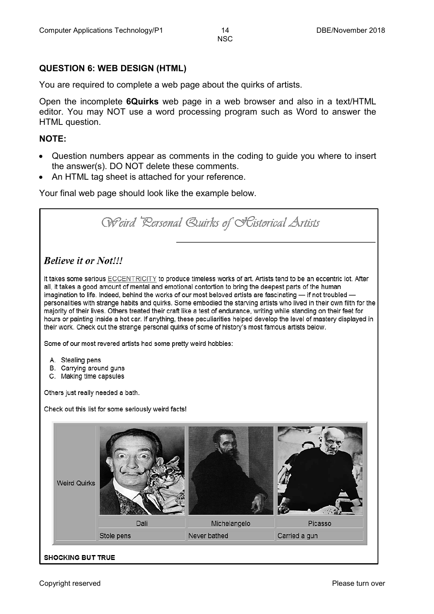### **QUESTION 6: WEB DESIGN (HTML)**

You are required to complete a web page about the quirks of artists.

Open the incomplete **6Quirks** web page in a web browser and also in a text/HTML editor. You may NOT use a word processing program such as Word to answer the HTML question.

#### **NOTE:**

- Question numbers appear as comments in the coding to guide you where to insert the answer(s). DO NOT delete these comments.
- An HTML tag sheet is attached for your reference.

Your final web page should look like the example below.

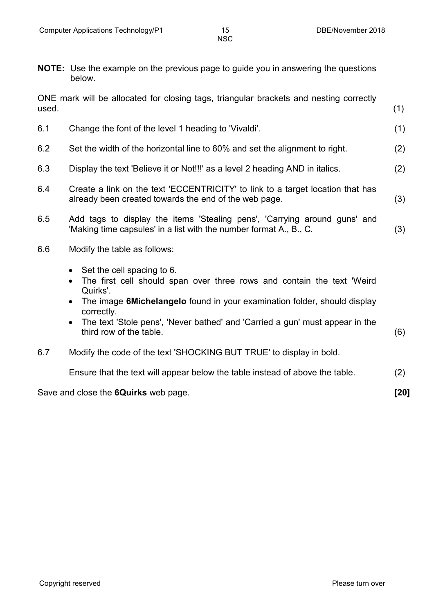**NOTE:** Use the example on the previous page to guide you in answering the questions below.

| used. | ONE mark will be allocated for closing tags, triangular brackets and nesting correctly                                                                                                                                                                                                                                                                                    | (1)  |
|-------|---------------------------------------------------------------------------------------------------------------------------------------------------------------------------------------------------------------------------------------------------------------------------------------------------------------------------------------------------------------------------|------|
| 6.1   | Change the font of the level 1 heading to 'Vivaldi'.                                                                                                                                                                                                                                                                                                                      | (1)  |
| 6.2   | Set the width of the horizontal line to 60% and set the alignment to right.                                                                                                                                                                                                                                                                                               | (2)  |
| 6.3   | Display the text 'Believe it or Not!!!' as a level 2 heading AND in italics.                                                                                                                                                                                                                                                                                              | (2)  |
| 6.4   | Create a link on the text 'ECCENTRICITY' to link to a target location that has<br>already been created towards the end of the web page.                                                                                                                                                                                                                                   | (3)  |
| 6.5   | Add tags to display the items 'Stealing pens', 'Carrying around guns' and<br>'Making time capsules' in a list with the number format A., B., C.                                                                                                                                                                                                                           | (3)  |
| 6.6   | Modify the table as follows:                                                                                                                                                                                                                                                                                                                                              |      |
|       | Set the cell spacing to 6.<br>$\bullet$<br>The first cell should span over three rows and contain the text 'Weird<br>$\bullet$<br>Quirks'.<br>The image 6Michelangelo found in your examination folder, should display<br>$\bullet$<br>correctly.<br>The text 'Stole pens', 'Never bathed' and 'Carried a gun' must appear in the<br>$\bullet$<br>third row of the table. | (6)  |
| 6.7   | Modify the code of the text 'SHOCKING BUT TRUE' to display in bold.                                                                                                                                                                                                                                                                                                       |      |
|       | Ensure that the text will appear below the table instead of above the table.                                                                                                                                                                                                                                                                                              | (2)  |
|       | Save and close the 6Quirks web page.                                                                                                                                                                                                                                                                                                                                      | [20] |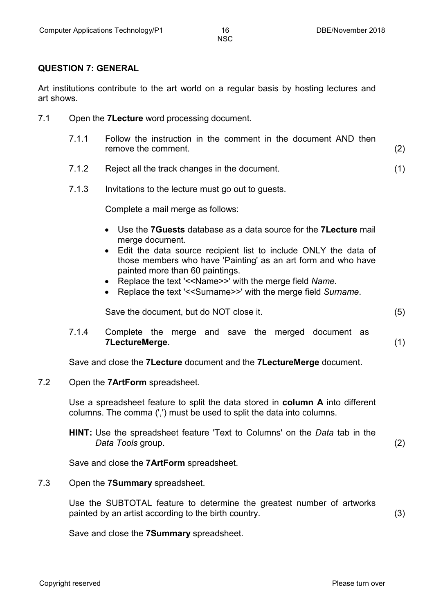#### **QUESTION 7: GENERAL**

Art institutions contribute to the art world on a regular basis by hosting lectures and art shows.

- 7.1 Open the **7Lecture** word processing document.
	- 7.1.1 Follow the instruction in the comment in the document AND then remove the comment. (2)
	- 7.1.2 Reject all the track changes in the document. (1)
	- 7.1.3 Invitations to the lecture must go out to guests.

Complete a mail merge as follows:

- Use the **7Guests** database as a data source for the **7Lecture** mail merge document.
- Edit the data source recipient list to include ONLY the data of those members who have 'Painting' as an art form and who have painted more than 60 paintings.
- Replace the text '<<Name>>' with the merge field *Name.*
- Replace the text '<<Surname>>' with the merge field *Surname*.

Save the document, but do NOT close it. (5)

7.1.4 Complete the merge and save the merged document as **7LectureMerge**. (1)

Save and close the **7Lecture** document and the **7LectureMerge** document.

7.2 Open the **7ArtForm** spreadsheet.

Use a spreadsheet feature to split the data stored in **column A** into different columns. The comma (',') must be used to split the data into columns.

**HINT:** Use the spreadsheet feature 'Text to Columns' on the *Data* tab in the *Data Tools* group. (2)

Save and close the **7ArtForm** spreadsheet.

7.3 Open the **7Summary** spreadsheet.

Use the SUBTOTAL feature to determine the greatest number of artworks painted by an artist according to the birth country. (3)

Save and close the **7Summary** spreadsheet.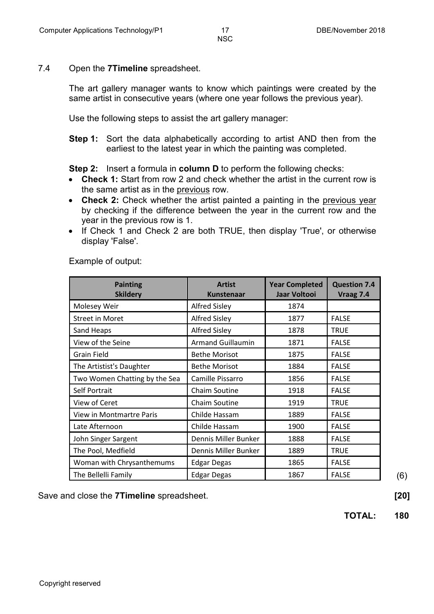#### 7.4 Open the **7Timeline** spreadsheet.

The art gallery manager wants to know which paintings were created by the same artist in consecutive years (where one year follows the previous year).

Use the following steps to assist the art gallery manager:

**Step 1:** Sort the data alphabetically according to artist AND then from the earliest to the latest year in which the painting was completed.

**Step 2:** Insert a formula in **column D** to perform the following checks:

- **Check 1:** Start from row 2 and check whether the artist in the current row is the same artist as in the previous row.
- **Check 2:** Check whether the artist painted a painting in the previous year by checking if the difference between the year in the current row and the year in the previous row is 1.
- If Check 1 and Check 2 are both TRUE, then display 'True', or otherwise display 'False'.

| <b>Painting</b><br><b>Skildery</b> | <b>Artist</b><br><b>Kunstenaar</b> | <b>Year Completed</b><br>Jaar Voltooi | <b>Question 7.4</b><br>Vraag 7.4 |
|------------------------------------|------------------------------------|---------------------------------------|----------------------------------|
| Molesey Weir                       | <b>Alfred Sisley</b>               | 1874                                  |                                  |
| <b>Street in Moret</b>             | <b>Alfred Sisley</b>               | 1877                                  | <b>FALSE</b>                     |
| Sand Heaps                         | <b>Alfred Sisley</b>               | 1878                                  | <b>TRUE</b>                      |
| View of the Seine                  | <b>Armand Guillaumin</b>           | 1871                                  | <b>FALSE</b>                     |
| <b>Grain Field</b>                 | <b>Bethe Morisot</b>               | 1875                                  | <b>FALSE</b>                     |
| The Artistist's Daughter           | <b>Bethe Morisot</b>               | 1884                                  | <b>FALSE</b>                     |
| Two Women Chatting by the Sea      | Camille Pissarro                   | 1856                                  | <b>FALSE</b>                     |
| Self Portrait                      | Chaim Soutine                      | 1918                                  | <b>FALSE</b>                     |
| View of Ceret                      | Chaim Soutine                      | 1919                                  | <b>TRUE</b>                      |
| View in Montmartre Paris           | Childe Hassam                      | 1889                                  | <b>FALSE</b>                     |
| Late Afternoon                     | Childe Hassam                      | 1900                                  | <b>FALSE</b>                     |
| John Singer Sargent                | Dennis Miller Bunker               | 1888                                  | <b>FALSE</b>                     |
| The Pool, Medfield                 | Dennis Miller Bunker               | 1889                                  | <b>TRUE</b>                      |
| Woman with Chrysanthemums          | <b>Edgar Degas</b>                 | 1865                                  | <b>FALSE</b>                     |
| The Bellelli Family                | <b>Edgar Degas</b>                 | 1867                                  | <b>FALSE</b>                     |

Example of output:

Save and close the **7Timeline** spreadsheet. **[20]**

**TOTAL: 180**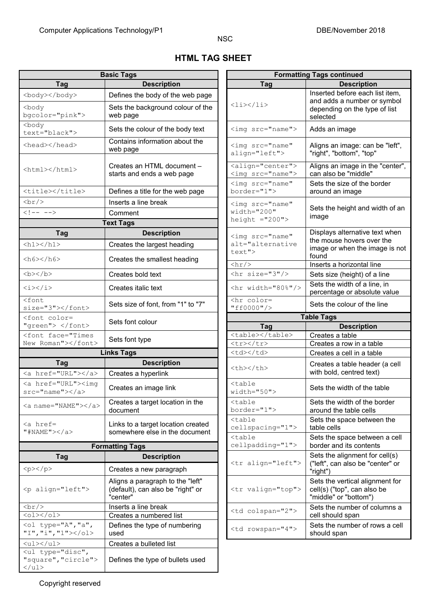$\overline{\phantom{a}}$ 

# **HTML TAG SHEET**

NSC

| Tag<br><b>Description</b><br><b>Description</b><br>Tag<br>Inserted before each list item,<br><body></body><br>Defines the body of the web page<br>and adds a number or symbol<br><li></li><br>Sets the background colour of the<br><body<br>depending on the type of list<br/>bgcolor="pink"&gt;<br/>web page<br/>selected<br/><body<br>Sets the colour of the body text<br/><imq src="name"><br/>Adds an image<br/>text="black"&gt;<br/>Contains information about the<br/><head></head><br/><img <br="" src="name"/>web page<br/>align="left"&gt;<br/>"right", "bottom", "top"<br/><align="center"><br/>Creates an HTML document -<br/><html></html><br/>can also be "middle"<br/><imq src="name"><br/>starts and ends a web page<br/><imq <br="" src="name">Sets the size of the border<br/>border="1"&gt;<br/><title></title><br/>Defines a title for the web page<br/>around an image<br/>Inserts a line break<br/><math>\braket{br/}</math><br/><math>\langle \text{img src} = "name"</math><br/>Sets the height and width of ar<br/>width="200"<br/><math>\langle</math>!-- --&gt;<br/>Comment<br/>image<br/>height <math>=</math>"200"&gt;<br/><b>Text Tags</b><br/><b>Description</b><br/>Tag<br/><imq <br="" src="name">the mouse hovers over the<br/>alt="alternative<br/><math>\hbox{{\smallN}}\xspace\hbox{{\smallN}}\xspace\hbox{{\smallN}}\xspace\hbox{{\smallN}}\xspace\hbox{{\smallN}}\xspace\hbox{{\smallN}}\xspace\hbox{{\smallN}}\xspace\hbox{{\smallN}}\xspace\hbox{{\smallN}}\xspace\hbox{{\smallN}}\xspace\hbox{{\smallN}}\xspace\hbox{{\smallN}}\xspace\hbox{{\smallN}}\xspace\hbox{{\smallN}}\xspace\hbox{{\smallN}}\xspace\hbox{{\smallN}}\xspace\hbox{{\smallN}}\xspace\hbox{{\smallN}}\xspace\hbox{{</math><br/>Creates the largest heading<br/>image or when the image is no<br/>text"&gt;<br/>found<br/><h6><h6><br/>Creates the smallest heading<br/>Inserts a horizontal line<br/><math>\frac{h}{2}</math><br/><math>&gt;/b&gt;</math><br/><math>\text{chr}</math> size="3"/&gt;<br/>Creates bold text<br/>Sets size (height) of a line<br/>Sets the width of a line, in<br/>Creates italic text<br/><math>\hbox{hr}</math> width="80%"/&gt;<br/><i></i><br/>percentage or absolute value<br/><font<br><hr color="&lt;br"/>Sets size of font, from "1" to "7"<br/>Sets the colour of the line<br/>"ff0000"/&gt;<br/>size="3"&gt;<br/><b>Table Tags</b><br/><font color="&lt;br">Sets font colour<br/>"green"&gt; </font><br/><b>Description</b><br/>Tag<br/><table></table><br/><font face="Times&lt;br&gt;Creates a table&lt;br&gt;Sets font type&lt;br&gt;New Roman"></font><br/><tr></tr><br/>Creates a row in a table<br/><b>Links Tags</b><br/><td></td><br/>Creates a cell in a table<br/><b>Description</b><br/>Tag<br/>Creates a table header (a cell<br/><th></th><br/>with bold, centred text)<br/><a href="URL"></a><br/>Creates a hyperlink<br/><a href="URL"><imq<br><table<br>Creates an image link<br/>Sets the width of the table<br/><math>src="name"&gt;&gt;/a&gt;</math><br/><math>width="50"</math><br/>Sets the width of the border<br/>Creates a target location in the<br/><table<br><a name="NAME"></a><br/>border="1"&gt;<br/>around the table cells<br/>document<br/><math>&lt;</math>table<br/>Sets the space between the<br/><a href="&lt;br">Links to a target location created<br/>cellspacing="1"&gt;<br/>table cells<br/>" #NAME "&gt;</a><br/>somewhere else in the document<br/><table<br>cellpadding="1"&gt;<br/>border and its contents<br/><b>Formatting Tags</b><br/>Sets the alignment for cell(s)<br/><b>Description</b><br/><b>Tag</b><br/><tr align="left"><br/>("left", can also be "center" or<br/><p><p><p><br/>Creates a new paragraph<br/>"right")<br/>Aligns a paragraph to the "left"<br/><tr valign="top"><br/><p align="left"><br/>(default), can also be "right" or<br/>cell(s) ("top", can also be<br/>"center"<br/>"middle" or "bottom")<br/><math>\braket{br}</math><br/>Inserts a line break<br/><td colspan="2"><br/><math>&lt;</math>ol&gt;<math>&lt;</math>/ol&gt;<br/>Creates a numbered list<br/>cell should span<br/><ol "a",<br="" ,="" type="A">Defines the type of numbering<br/><td rowspan="4"><br/>"I", "i", "1"&gt;</td></ol><br/>should span<br/>used<br/><math>\langle u1 \rangle \langle u1 \rangle</math><br/>Creates a bulleted list<br/><ul ,<br="" type="disc">"square", "circle"&gt;<br/>Defines the type of bullets used<br/><math>\langle /ul \rangle</math></ul></td></p></tr></p></p></p></tr></table<br></table<br></table<br></imq<br></a></font<br></h6></h6></imq></imq></imq></align="center"></imq></body<br></body<br> |  |                    | <br>$<$ ol> $<$ /ol><br>Creates a numbered list<br>cell should span<br><ol "a",<br="" ,="" type="A">Defines the type of numbering<br/><td rowspan="4"><br/>"I", "i", "1"&gt;</td></ol><br>should span<br>used<br>$\langle u1 \rangle \langle u1 \rangle$<br>Creates a bulleted list<br><ul ,<br="" type="disc">"square", "circle"&gt;<br/>Defines the type of bullets used<br/><math>\langle /ul \rangle</math></ul> |  | <br>"I", "i", "1"> | <b>Basic Tags</b> | <b>Formatting Tags continued</b> |  |  |  |
|------------------------------------------------------------------------------------------------------------------------------------------------------------------------------------------------------------------------------------------------------------------------------------------------------------------------------------------------------------------------------------------------------------------------------------------------------------------------------------------------------------------------------------------------------------------------------------------------------------------------------------------------------------------------------------------------------------------------------------------------------------------------------------------------------------------------------------------------------------------------------------------------------------------------------------------------------------------------------------------------------------------------------------------------------------------------------------------------------------------------------------------------------------------------------------------------------------------------------------------------------------------------------------------------------------------------------------------------------------------------------------------------------------------------------------------------------------------------------------------------------------------------------------------------------------------------------------------------------------------------------------------------------------------------------------------------------------------------------------------------------------------------------------------------------------------------------------------------------------------------------------------------------------------------------------------------------------------------------------------------------------------------------------------------------------------------------------------------------------------------------------------------------------------------------------------------------------------------------------------------------------------------------------------------------------------------------------------------------------------------------------------------------------------------------------------------------------------------------------------------------------------------------------------------------------------------------------------------------------------------------------------------------------------------------------------------------------------------------------------------------------------------------------------------------------------------------------------------------------------------------------------------------------------------------------------------------------------------------------------------------------------------------------------------------------------------------------------------------------------------------------------------------------------------------------------------------------------------------------------------------------------------------------------------------------------------------------------------------------------------------------------------------------------------------------------------------------------------------------------------------------------------------------------------------------------------------------------------------------------------------------------------------------------------------------------------------------------------------------------------------------------------------------------------------------------------------------------------------------------------------------------------------------------------------------------------------------------------------------------------------------------------------------------------------------------------------------------------------------------------------------------------------------------------------------------------------------------------------------------------------------------------------------------------------------------------------------------------------------------------------------------------------------------------------------------------------------------------------------------------------------------------------------------------------------------------------------------------------------------------------------------------|--|--------------------|----------------------------------------------------------------------------------------------------------------------------------------------------------------------------------------------------------------------------------------------------------------------------------------------------------------------------------------------------------------------------------------------------------------------|--|--------------------|-------------------|----------------------------------|--|--|--|
|                                                                                                                                                                                                                                                                                                                                                                                                                                                                                                                                                                                                                                                                                                                                                                                                                                                                                                                                                                                                                                                                                                                                                                                                                                                                                                                                                                                                                                                                                                                                                                                                                                                                                                                                                                                                                                                                                                                                                                                                                                                                                                                                                                                                                                                                                                                                                                                                                                                                                                                                                                                                                                                                                                                                                                                                                                                                                                                                                                                                                                                                                                                                                                                                                                                                                                                                                                                                                                                                                                                                                                                                                                                                                                                                                                                                                                                                                                                                                                                                                                                                                                                                                                                                                                                                                                                                                                                                                                                                                                                                                                                                                                                |  |                    |                                                                                                                                                                                                                                                                                                                                                                                                                      |  |                    |                   |                                  |  |  |  |
| <br>$<$ ol> $<$ /ol><br>Creates a numbered list<br>cell should span<br><ol "a",<br="" ,="" type="A">Defines the type of numbering<br/><td rowspan="4"><br/>"I", "i", "1"&gt;</td></ol><br>should span<br>used<br>$\langle u1 \rangle \langle u1 \rangle$<br>Creates a bulleted list<br><ul ,<br="" type="disc">"square", "circle"&gt;<br/>Defines the type of bullets used<br/><math>\langle /ul \rangle</math></ul>                                                                                                                                                                                                                                                                                                                                                                                                                                                                                                                                                                                                                                                                                                                                                                                                                                                                                                                                                                                                                                                                                                                                                                                                                                                                                                                                                                                                                                                                                                                                                                                                                                                                                                                                                                                                                                                                                                                                                                                                                                                                                                                                                                                                                                                                                                                                                                                                                                                                                                                                                                                                                                                                                                                                                                                                                                                                                                                                                                                                                                                                                                                                                                                                                                                                                                                                                                                                                                                                                                                                                                                                                                                                                                                                                                                                                                                                                                                                                                                                                                                                                                                                                                                                                           |  | <br>"I", "i", "1"> |                                                                                                                                                                                                                                                                                                                                                                                                                      |  |                    |                   |                                  |  |  |  |
| <br>$<$ ol> $<$ /ol><br>Creates a numbered list<br>cell should span<br><ol "a",<br="" ,="" type="A">Defines the type of numbering<br/><td rowspan="4"><br/>"I", "i", "1"&gt;</td></ol><br>should span<br>used<br>$\langle u1 \rangle \langle u1 \rangle$<br>Creates a bulleted list<br><ul ,<br="" type="disc">"square", "circle"&gt;<br/>Defines the type of bullets used<br/><math>\langle /ul \rangle</math></ul>                                                                                                                                                                                                                                                                                                                                                                                                                                                                                                                                                                                                                                                                                                                                                                                                                                                                                                                                                                                                                                                                                                                                                                                                                                                                                                                                                                                                                                                                                                                                                                                                                                                                                                                                                                                                                                                                                                                                                                                                                                                                                                                                                                                                                                                                                                                                                                                                                                                                                                                                                                                                                                                                                                                                                                                                                                                                                                                                                                                                                                                                                                                                                                                                                                                                                                                                                                                                                                                                                                                                                                                                                                                                                                                                                                                                                                                                                                                                                                                                                                                                                                                                                                                                                           |  |                    | <br>"I", "i", "1">                                                                                                                                                                                                                                                                                                                                                                                                   |  |                    |                   |                                  |  |  |  |
|                                                                                                                                                                                                                                                                                                                                                                                                                                                                                                                                                                                                                                                                                                                                                                                                                                                                                                                                                                                                                                                                                                                                                                                                                                                                                                                                                                                                                                                                                                                                                                                                                                                                                                                                                                                                                                                                                                                                                                                                                                                                                                                                                                                                                                                                                                                                                                                                                                                                                                                                                                                                                                                                                                                                                                                                                                                                                                                                                                                                                                                                                                                                                                                                                                                                                                                                                                                                                                                                                                                                                                                                                                                                                                                                                                                                                                                                                                                                                                                                                                                                                                                                                                                                                                                                                                                                                                                                                                                                                                                                                                                                                                                |  |                    |                                                                                                                                                                                                                                                                                                                                                                                                                      |  |                    |                   |                                  |  |  |  |
|                                                                                                                                                                                                                                                                                                                                                                                                                                                                                                                                                                                                                                                                                                                                                                                                                                                                                                                                                                                                                                                                                                                                                                                                                                                                                                                                                                                                                                                                                                                                                                                                                                                                                                                                                                                                                                                                                                                                                                                                                                                                                                                                                                                                                                                                                                                                                                                                                                                                                                                                                                                                                                                                                                                                                                                                                                                                                                                                                                                                                                                                                                                                                                                                                                                                                                                                                                                                                                                                                                                                                                                                                                                                                                                                                                                                                                                                                                                                                                                                                                                                                                                                                                                                                                                                                                                                                                                                                                                                                                                                                                                                                                                |  |                    |                                                                                                                                                                                                                                                                                                                                                                                                                      |  |                    |                   |                                  |  |  |  |
|                                                                                                                                                                                                                                                                                                                                                                                                                                                                                                                                                                                                                                                                                                                                                                                                                                                                                                                                                                                                                                                                                                                                                                                                                                                                                                                                                                                                                                                                                                                                                                                                                                                                                                                                                                                                                                                                                                                                                                                                                                                                                                                                                                                                                                                                                                                                                                                                                                                                                                                                                                                                                                                                                                                                                                                                                                                                                                                                                                                                                                                                                                                                                                                                                                                                                                                                                                                                                                                                                                                                                                                                                                                                                                                                                                                                                                                                                                                                                                                                                                                                                                                                                                                                                                                                                                                                                                                                                                                                                                                                                                                                                                                |  |                    |                                                                                                                                                                                                                                                                                                                                                                                                                      |  |                    |                   |                                  |  |  |  |
|                                                                                                                                                                                                                                                                                                                                                                                                                                                                                                                                                                                                                                                                                                                                                                                                                                                                                                                                                                                                                                                                                                                                                                                                                                                                                                                                                                                                                                                                                                                                                                                                                                                                                                                                                                                                                                                                                                                                                                                                                                                                                                                                                                                                                                                                                                                                                                                                                                                                                                                                                                                                                                                                                                                                                                                                                                                                                                                                                                                                                                                                                                                                                                                                                                                                                                                                                                                                                                                                                                                                                                                                                                                                                                                                                                                                                                                                                                                                                                                                                                                                                                                                                                                                                                                                                                                                                                                                                                                                                                                                                                                                                                                |  |                    |                                                                                                                                                                                                                                                                                                                                                                                                                      |  |                    |                   |                                  |  |  |  |
|                                                                                                                                                                                                                                                                                                                                                                                                                                                                                                                                                                                                                                                                                                                                                                                                                                                                                                                                                                                                                                                                                                                                                                                                                                                                                                                                                                                                                                                                                                                                                                                                                                                                                                                                                                                                                                                                                                                                                                                                                                                                                                                                                                                                                                                                                                                                                                                                                                                                                                                                                                                                                                                                                                                                                                                                                                                                                                                                                                                                                                                                                                                                                                                                                                                                                                                                                                                                                                                                                                                                                                                                                                                                                                                                                                                                                                                                                                                                                                                                                                                                                                                                                                                                                                                                                                                                                                                                                                                                                                                                                                                                                                                |  |                    | Aligns an image: can be "left",                                                                                                                                                                                                                                                                                                                                                                                      |  |                    |                   |                                  |  |  |  |
|                                                                                                                                                                                                                                                                                                                                                                                                                                                                                                                                                                                                                                                                                                                                                                                                                                                                                                                                                                                                                                                                                                                                                                                                                                                                                                                                                                                                                                                                                                                                                                                                                                                                                                                                                                                                                                                                                                                                                                                                                                                                                                                                                                                                                                                                                                                                                                                                                                                                                                                                                                                                                                                                                                                                                                                                                                                                                                                                                                                                                                                                                                                                                                                                                                                                                                                                                                                                                                                                                                                                                                                                                                                                                                                                                                                                                                                                                                                                                                                                                                                                                                                                                                                                                                                                                                                                                                                                                                                                                                                                                                                                                                                |  |                    | Aligns an image in the "center"                                                                                                                                                                                                                                                                                                                                                                                      |  |                    |                   |                                  |  |  |  |
|                                                                                                                                                                                                                                                                                                                                                                                                                                                                                                                                                                                                                                                                                                                                                                                                                                                                                                                                                                                                                                                                                                                                                                                                                                                                                                                                                                                                                                                                                                                                                                                                                                                                                                                                                                                                                                                                                                                                                                                                                                                                                                                                                                                                                                                                                                                                                                                                                                                                                                                                                                                                                                                                                                                                                                                                                                                                                                                                                                                                                                                                                                                                                                                                                                                                                                                                                                                                                                                                                                                                                                                                                                                                                                                                                                                                                                                                                                                                                                                                                                                                                                                                                                                                                                                                                                                                                                                                                                                                                                                                                                                                                                                |  |                    |                                                                                                                                                                                                                                                                                                                                                                                                                      |  |                    |                   |                                  |  |  |  |
|                                                                                                                                                                                                                                                                                                                                                                                                                                                                                                                                                                                                                                                                                                                                                                                                                                                                                                                                                                                                                                                                                                                                                                                                                                                                                                                                                                                                                                                                                                                                                                                                                                                                                                                                                                                                                                                                                                                                                                                                                                                                                                                                                                                                                                                                                                                                                                                                                                                                                                                                                                                                                                                                                                                                                                                                                                                                                                                                                                                                                                                                                                                                                                                                                                                                                                                                                                                                                                                                                                                                                                                                                                                                                                                                                                                                                                                                                                                                                                                                                                                                                                                                                                                                                                                                                                                                                                                                                                                                                                                                                                                                                                                |  |                    |                                                                                                                                                                                                                                                                                                                                                                                                                      |  |                    |                   |                                  |  |  |  |
|                                                                                                                                                                                                                                                                                                                                                                                                                                                                                                                                                                                                                                                                                                                                                                                                                                                                                                                                                                                                                                                                                                                                                                                                                                                                                                                                                                                                                                                                                                                                                                                                                                                                                                                                                                                                                                                                                                                                                                                                                                                                                                                                                                                                                                                                                                                                                                                                                                                                                                                                                                                                                                                                                                                                                                                                                                                                                                                                                                                                                                                                                                                                                                                                                                                                                                                                                                                                                                                                                                                                                                                                                                                                                                                                                                                                                                                                                                                                                                                                                                                                                                                                                                                                                                                                                                                                                                                                                                                                                                                                                                                                                                                |  |                    |                                                                                                                                                                                                                                                                                                                                                                                                                      |  |                    |                   |                                  |  |  |  |
|                                                                                                                                                                                                                                                                                                                                                                                                                                                                                                                                                                                                                                                                                                                                                                                                                                                                                                                                                                                                                                                                                                                                                                                                                                                                                                                                                                                                                                                                                                                                                                                                                                                                                                                                                                                                                                                                                                                                                                                                                                                                                                                                                                                                                                                                                                                                                                                                                                                                                                                                                                                                                                                                                                                                                                                                                                                                                                                                                                                                                                                                                                                                                                                                                                                                                                                                                                                                                                                                                                                                                                                                                                                                                                                                                                                                                                                                                                                                                                                                                                                                                                                                                                                                                                                                                                                                                                                                                                                                                                                                                                                                                                                |  |                    |                                                                                                                                                                                                                                                                                                                                                                                                                      |  |                    |                   |                                  |  |  |  |
|                                                                                                                                                                                                                                                                                                                                                                                                                                                                                                                                                                                                                                                                                                                                                                                                                                                                                                                                                                                                                                                                                                                                                                                                                                                                                                                                                                                                                                                                                                                                                                                                                                                                                                                                                                                                                                                                                                                                                                                                                                                                                                                                                                                                                                                                                                                                                                                                                                                                                                                                                                                                                                                                                                                                                                                                                                                                                                                                                                                                                                                                                                                                                                                                                                                                                                                                                                                                                                                                                                                                                                                                                                                                                                                                                                                                                                                                                                                                                                                                                                                                                                                                                                                                                                                                                                                                                                                                                                                                                                                                                                                                                                                |  |                    | Displays alternative text when                                                                                                                                                                                                                                                                                                                                                                                       |  |                    |                   |                                  |  |  |  |
|                                                                                                                                                                                                                                                                                                                                                                                                                                                                                                                                                                                                                                                                                                                                                                                                                                                                                                                                                                                                                                                                                                                                                                                                                                                                                                                                                                                                                                                                                                                                                                                                                                                                                                                                                                                                                                                                                                                                                                                                                                                                                                                                                                                                                                                                                                                                                                                                                                                                                                                                                                                                                                                                                                                                                                                                                                                                                                                                                                                                                                                                                                                                                                                                                                                                                                                                                                                                                                                                                                                                                                                                                                                                                                                                                                                                                                                                                                                                                                                                                                                                                                                                                                                                                                                                                                                                                                                                                                                                                                                                                                                                                                                |  |                    |                                                                                                                                                                                                                                                                                                                                                                                                                      |  |                    |                   |                                  |  |  |  |
|                                                                                                                                                                                                                                                                                                                                                                                                                                                                                                                                                                                                                                                                                                                                                                                                                                                                                                                                                                                                                                                                                                                                                                                                                                                                                                                                                                                                                                                                                                                                                                                                                                                                                                                                                                                                                                                                                                                                                                                                                                                                                                                                                                                                                                                                                                                                                                                                                                                                                                                                                                                                                                                                                                                                                                                                                                                                                                                                                                                                                                                                                                                                                                                                                                                                                                                                                                                                                                                                                                                                                                                                                                                                                                                                                                                                                                                                                                                                                                                                                                                                                                                                                                                                                                                                                                                                                                                                                                                                                                                                                                                                                                                |  |                    |                                                                                                                                                                                                                                                                                                                                                                                                                      |  |                    |                   |                                  |  |  |  |
|                                                                                                                                                                                                                                                                                                                                                                                                                                                                                                                                                                                                                                                                                                                                                                                                                                                                                                                                                                                                                                                                                                                                                                                                                                                                                                                                                                                                                                                                                                                                                                                                                                                                                                                                                                                                                                                                                                                                                                                                                                                                                                                                                                                                                                                                                                                                                                                                                                                                                                                                                                                                                                                                                                                                                                                                                                                                                                                                                                                                                                                                                                                                                                                                                                                                                                                                                                                                                                                                                                                                                                                                                                                                                                                                                                                                                                                                                                                                                                                                                                                                                                                                                                                                                                                                                                                                                                                                                                                                                                                                                                                                                                                |  |                    |                                                                                                                                                                                                                                                                                                                                                                                                                      |  |                    |                   |                                  |  |  |  |
|                                                                                                                                                                                                                                                                                                                                                                                                                                                                                                                                                                                                                                                                                                                                                                                                                                                                                                                                                                                                                                                                                                                                                                                                                                                                                                                                                                                                                                                                                                                                                                                                                                                                                                                                                                                                                                                                                                                                                                                                                                                                                                                                                                                                                                                                                                                                                                                                                                                                                                                                                                                                                                                                                                                                                                                                                                                                                                                                                                                                                                                                                                                                                                                                                                                                                                                                                                                                                                                                                                                                                                                                                                                                                                                                                                                                                                                                                                                                                                                                                                                                                                                                                                                                                                                                                                                                                                                                                                                                                                                                                                                                                                                |  |                    |                                                                                                                                                                                                                                                                                                                                                                                                                      |  |                    |                   |                                  |  |  |  |
|                                                                                                                                                                                                                                                                                                                                                                                                                                                                                                                                                                                                                                                                                                                                                                                                                                                                                                                                                                                                                                                                                                                                                                                                                                                                                                                                                                                                                                                                                                                                                                                                                                                                                                                                                                                                                                                                                                                                                                                                                                                                                                                                                                                                                                                                                                                                                                                                                                                                                                                                                                                                                                                                                                                                                                                                                                                                                                                                                                                                                                                                                                                                                                                                                                                                                                                                                                                                                                                                                                                                                                                                                                                                                                                                                                                                                                                                                                                                                                                                                                                                                                                                                                                                                                                                                                                                                                                                                                                                                                                                                                                                                                                |  |                    |                                                                                                                                                                                                                                                                                                                                                                                                                      |  |                    |                   |                                  |  |  |  |
|                                                                                                                                                                                                                                                                                                                                                                                                                                                                                                                                                                                                                                                                                                                                                                                                                                                                                                                                                                                                                                                                                                                                                                                                                                                                                                                                                                                                                                                                                                                                                                                                                                                                                                                                                                                                                                                                                                                                                                                                                                                                                                                                                                                                                                                                                                                                                                                                                                                                                                                                                                                                                                                                                                                                                                                                                                                                                                                                                                                                                                                                                                                                                                                                                                                                                                                                                                                                                                                                                                                                                                                                                                                                                                                                                                                                                                                                                                                                                                                                                                                                                                                                                                                                                                                                                                                                                                                                                                                                                                                                                                                                                                                |  |                    |                                                                                                                                                                                                                                                                                                                                                                                                                      |  |                    |                   |                                  |  |  |  |
|                                                                                                                                                                                                                                                                                                                                                                                                                                                                                                                                                                                                                                                                                                                                                                                                                                                                                                                                                                                                                                                                                                                                                                                                                                                                                                                                                                                                                                                                                                                                                                                                                                                                                                                                                                                                                                                                                                                                                                                                                                                                                                                                                                                                                                                                                                                                                                                                                                                                                                                                                                                                                                                                                                                                                                                                                                                                                                                                                                                                                                                                                                                                                                                                                                                                                                                                                                                                                                                                                                                                                                                                                                                                                                                                                                                                                                                                                                                                                                                                                                                                                                                                                                                                                                                                                                                                                                                                                                                                                                                                                                                                                                                |  |                    |                                                                                                                                                                                                                                                                                                                                                                                                                      |  |                    |                   |                                  |  |  |  |
|                                                                                                                                                                                                                                                                                                                                                                                                                                                                                                                                                                                                                                                                                                                                                                                                                                                                                                                                                                                                                                                                                                                                                                                                                                                                                                                                                                                                                                                                                                                                                                                                                                                                                                                                                                                                                                                                                                                                                                                                                                                                                                                                                                                                                                                                                                                                                                                                                                                                                                                                                                                                                                                                                                                                                                                                                                                                                                                                                                                                                                                                                                                                                                                                                                                                                                                                                                                                                                                                                                                                                                                                                                                                                                                                                                                                                                                                                                                                                                                                                                                                                                                                                                                                                                                                                                                                                                                                                                                                                                                                                                                                                                                |  |                    |                                                                                                                                                                                                                                                                                                                                                                                                                      |  |                    |                   |                                  |  |  |  |
|                                                                                                                                                                                                                                                                                                                                                                                                                                                                                                                                                                                                                                                                                                                                                                                                                                                                                                                                                                                                                                                                                                                                                                                                                                                                                                                                                                                                                                                                                                                                                                                                                                                                                                                                                                                                                                                                                                                                                                                                                                                                                                                                                                                                                                                                                                                                                                                                                                                                                                                                                                                                                                                                                                                                                                                                                                                                                                                                                                                                                                                                                                                                                                                                                                                                                                                                                                                                                                                                                                                                                                                                                                                                                                                                                                                                                                                                                                                                                                                                                                                                                                                                                                                                                                                                                                                                                                                                                                                                                                                                                                                                                                                |  |                    |                                                                                                                                                                                                                                                                                                                                                                                                                      |  |                    |                   |                                  |  |  |  |
|                                                                                                                                                                                                                                                                                                                                                                                                                                                                                                                                                                                                                                                                                                                                                                                                                                                                                                                                                                                                                                                                                                                                                                                                                                                                                                                                                                                                                                                                                                                                                                                                                                                                                                                                                                                                                                                                                                                                                                                                                                                                                                                                                                                                                                                                                                                                                                                                                                                                                                                                                                                                                                                                                                                                                                                                                                                                                                                                                                                                                                                                                                                                                                                                                                                                                                                                                                                                                                                                                                                                                                                                                                                                                                                                                                                                                                                                                                                                                                                                                                                                                                                                                                                                                                                                                                                                                                                                                                                                                                                                                                                                                                                |  |                    |                                                                                                                                                                                                                                                                                                                                                                                                                      |  |                    |                   |                                  |  |  |  |
|                                                                                                                                                                                                                                                                                                                                                                                                                                                                                                                                                                                                                                                                                                                                                                                                                                                                                                                                                                                                                                                                                                                                                                                                                                                                                                                                                                                                                                                                                                                                                                                                                                                                                                                                                                                                                                                                                                                                                                                                                                                                                                                                                                                                                                                                                                                                                                                                                                                                                                                                                                                                                                                                                                                                                                                                                                                                                                                                                                                                                                                                                                                                                                                                                                                                                                                                                                                                                                                                                                                                                                                                                                                                                                                                                                                                                                                                                                                                                                                                                                                                                                                                                                                                                                                                                                                                                                                                                                                                                                                                                                                                                                                |  |                    |                                                                                                                                                                                                                                                                                                                                                                                                                      |  |                    |                   |                                  |  |  |  |
|                                                                                                                                                                                                                                                                                                                                                                                                                                                                                                                                                                                                                                                                                                                                                                                                                                                                                                                                                                                                                                                                                                                                                                                                                                                                                                                                                                                                                                                                                                                                                                                                                                                                                                                                                                                                                                                                                                                                                                                                                                                                                                                                                                                                                                                                                                                                                                                                                                                                                                                                                                                                                                                                                                                                                                                                                                                                                                                                                                                                                                                                                                                                                                                                                                                                                                                                                                                                                                                                                                                                                                                                                                                                                                                                                                                                                                                                                                                                                                                                                                                                                                                                                                                                                                                                                                                                                                                                                                                                                                                                                                                                                                                |  |                    |                                                                                                                                                                                                                                                                                                                                                                                                                      |  |                    |                   |                                  |  |  |  |
|                                                                                                                                                                                                                                                                                                                                                                                                                                                                                                                                                                                                                                                                                                                                                                                                                                                                                                                                                                                                                                                                                                                                                                                                                                                                                                                                                                                                                                                                                                                                                                                                                                                                                                                                                                                                                                                                                                                                                                                                                                                                                                                                                                                                                                                                                                                                                                                                                                                                                                                                                                                                                                                                                                                                                                                                                                                                                                                                                                                                                                                                                                                                                                                                                                                                                                                                                                                                                                                                                                                                                                                                                                                                                                                                                                                                                                                                                                                                                                                                                                                                                                                                                                                                                                                                                                                                                                                                                                                                                                                                                                                                                                                |  |                    |                                                                                                                                                                                                                                                                                                                                                                                                                      |  |                    |                   |                                  |  |  |  |
|                                                                                                                                                                                                                                                                                                                                                                                                                                                                                                                                                                                                                                                                                                                                                                                                                                                                                                                                                                                                                                                                                                                                                                                                                                                                                                                                                                                                                                                                                                                                                                                                                                                                                                                                                                                                                                                                                                                                                                                                                                                                                                                                                                                                                                                                                                                                                                                                                                                                                                                                                                                                                                                                                                                                                                                                                                                                                                                                                                                                                                                                                                                                                                                                                                                                                                                                                                                                                                                                                                                                                                                                                                                                                                                                                                                                                                                                                                                                                                                                                                                                                                                                                                                                                                                                                                                                                                                                                                                                                                                                                                                                                                                |  |                    |                                                                                                                                                                                                                                                                                                                                                                                                                      |  |                    |                   |                                  |  |  |  |
|                                                                                                                                                                                                                                                                                                                                                                                                                                                                                                                                                                                                                                                                                                                                                                                                                                                                                                                                                                                                                                                                                                                                                                                                                                                                                                                                                                                                                                                                                                                                                                                                                                                                                                                                                                                                                                                                                                                                                                                                                                                                                                                                                                                                                                                                                                                                                                                                                                                                                                                                                                                                                                                                                                                                                                                                                                                                                                                                                                                                                                                                                                                                                                                                                                                                                                                                                                                                                                                                                                                                                                                                                                                                                                                                                                                                                                                                                                                                                                                                                                                                                                                                                                                                                                                                                                                                                                                                                                                                                                                                                                                                                                                |  |                    |                                                                                                                                                                                                                                                                                                                                                                                                                      |  |                    |                   |                                  |  |  |  |
|                                                                                                                                                                                                                                                                                                                                                                                                                                                                                                                                                                                                                                                                                                                                                                                                                                                                                                                                                                                                                                                                                                                                                                                                                                                                                                                                                                                                                                                                                                                                                                                                                                                                                                                                                                                                                                                                                                                                                                                                                                                                                                                                                                                                                                                                                                                                                                                                                                                                                                                                                                                                                                                                                                                                                                                                                                                                                                                                                                                                                                                                                                                                                                                                                                                                                                                                                                                                                                                                                                                                                                                                                                                                                                                                                                                                                                                                                                                                                                                                                                                                                                                                                                                                                                                                                                                                                                                                                                                                                                                                                                                                                                                |  |                    |                                                                                                                                                                                                                                                                                                                                                                                                                      |  |                    |                   |                                  |  |  |  |
|                                                                                                                                                                                                                                                                                                                                                                                                                                                                                                                                                                                                                                                                                                                                                                                                                                                                                                                                                                                                                                                                                                                                                                                                                                                                                                                                                                                                                                                                                                                                                                                                                                                                                                                                                                                                                                                                                                                                                                                                                                                                                                                                                                                                                                                                                                                                                                                                                                                                                                                                                                                                                                                                                                                                                                                                                                                                                                                                                                                                                                                                                                                                                                                                                                                                                                                                                                                                                                                                                                                                                                                                                                                                                                                                                                                                                                                                                                                                                                                                                                                                                                                                                                                                                                                                                                                                                                                                                                                                                                                                                                                                                                                |  |                    | Sets the space between a cell                                                                                                                                                                                                                                                                                                                                                                                        |  |                    |                   |                                  |  |  |  |
|                                                                                                                                                                                                                                                                                                                                                                                                                                                                                                                                                                                                                                                                                                                                                                                                                                                                                                                                                                                                                                                                                                                                                                                                                                                                                                                                                                                                                                                                                                                                                                                                                                                                                                                                                                                                                                                                                                                                                                                                                                                                                                                                                                                                                                                                                                                                                                                                                                                                                                                                                                                                                                                                                                                                                                                                                                                                                                                                                                                                                                                                                                                                                                                                                                                                                                                                                                                                                                                                                                                                                                                                                                                                                                                                                                                                                                                                                                                                                                                                                                                                                                                                                                                                                                                                                                                                                                                                                                                                                                                                                                                                                                                |  |                    |                                                                                                                                                                                                                                                                                                                                                                                                                      |  |                    |                   |                                  |  |  |  |
|                                                                                                                                                                                                                                                                                                                                                                                                                                                                                                                                                                                                                                                                                                                                                                                                                                                                                                                                                                                                                                                                                                                                                                                                                                                                                                                                                                                                                                                                                                                                                                                                                                                                                                                                                                                                                                                                                                                                                                                                                                                                                                                                                                                                                                                                                                                                                                                                                                                                                                                                                                                                                                                                                                                                                                                                                                                                                                                                                                                                                                                                                                                                                                                                                                                                                                                                                                                                                                                                                                                                                                                                                                                                                                                                                                                                                                                                                                                                                                                                                                                                                                                                                                                                                                                                                                                                                                                                                                                                                                                                                                                                                                                |  |                    |                                                                                                                                                                                                                                                                                                                                                                                                                      |  |                    |                   |                                  |  |  |  |
|                                                                                                                                                                                                                                                                                                                                                                                                                                                                                                                                                                                                                                                                                                                                                                                                                                                                                                                                                                                                                                                                                                                                                                                                                                                                                                                                                                                                                                                                                                                                                                                                                                                                                                                                                                                                                                                                                                                                                                                                                                                                                                                                                                                                                                                                                                                                                                                                                                                                                                                                                                                                                                                                                                                                                                                                                                                                                                                                                                                                                                                                                                                                                                                                                                                                                                                                                                                                                                                                                                                                                                                                                                                                                                                                                                                                                                                                                                                                                                                                                                                                                                                                                                                                                                                                                                                                                                                                                                                                                                                                                                                                                                                |  |                    | Sets the vertical alignment for                                                                                                                                                                                                                                                                                                                                                                                      |  |                    |                   |                                  |  |  |  |
|                                                                                                                                                                                                                                                                                                                                                                                                                                                                                                                                                                                                                                                                                                                                                                                                                                                                                                                                                                                                                                                                                                                                                                                                                                                                                                                                                                                                                                                                                                                                                                                                                                                                                                                                                                                                                                                                                                                                                                                                                                                                                                                                                                                                                                                                                                                                                                                                                                                                                                                                                                                                                                                                                                                                                                                                                                                                                                                                                                                                                                                                                                                                                                                                                                                                                                                                                                                                                                                                                                                                                                                                                                                                                                                                                                                                                                                                                                                                                                                                                                                                                                                                                                                                                                                                                                                                                                                                                                                                                                                                                                                                                                                |  |                    | Sets the number of columns a                                                                                                                                                                                                                                                                                                                                                                                         |  |                    |                   |                                  |  |  |  |
|                                                                                                                                                                                                                                                                                                                                                                                                                                                                                                                                                                                                                                                                                                                                                                                                                                                                                                                                                                                                                                                                                                                                                                                                                                                                                                                                                                                                                                                                                                                                                                                                                                                                                                                                                                                                                                                                                                                                                                                                                                                                                                                                                                                                                                                                                                                                                                                                                                                                                                                                                                                                                                                                                                                                                                                                                                                                                                                                                                                                                                                                                                                                                                                                                                                                                                                                                                                                                                                                                                                                                                                                                                                                                                                                                                                                                                                                                                                                                                                                                                                                                                                                                                                                                                                                                                                                                                                                                                                                                                                                                                                                                                                |  |                    |                                                                                                                                                                                                                                                                                                                                                                                                                      |  |                    |                   |                                  |  |  |  |
|                                                                                                                                                                                                                                                                                                                                                                                                                                                                                                                                                                                                                                                                                                                                                                                                                                                                                                                                                                                                                                                                                                                                                                                                                                                                                                                                                                                                                                                                                                                                                                                                                                                                                                                                                                                                                                                                                                                                                                                                                                                                                                                                                                                                                                                                                                                                                                                                                                                                                                                                                                                                                                                                                                                                                                                                                                                                                                                                                                                                                                                                                                                                                                                                                                                                                                                                                                                                                                                                                                                                                                                                                                                                                                                                                                                                                                                                                                                                                                                                                                                                                                                                                                                                                                                                                                                                                                                                                                                                                                                                                                                                                                                |  |                    | Sets the number of rows a cell                                                                                                                                                                                                                                                                                                                                                                                       |  |                    |                   |                                  |  |  |  |
|                                                                                                                                                                                                                                                                                                                                                                                                                                                                                                                                                                                                                                                                                                                                                                                                                                                                                                                                                                                                                                                                                                                                                                                                                                                                                                                                                                                                                                                                                                                                                                                                                                                                                                                                                                                                                                                                                                                                                                                                                                                                                                                                                                                                                                                                                                                                                                                                                                                                                                                                                                                                                                                                                                                                                                                                                                                                                                                                                                                                                                                                                                                                                                                                                                                                                                                                                                                                                                                                                                                                                                                                                                                                                                                                                                                                                                                                                                                                                                                                                                                                                                                                                                                                                                                                                                                                                                                                                                                                                                                                                                                                                                                |  |                    |                                                                                                                                                                                                                                                                                                                                                                                                                      |  |                    |                   |                                  |  |  |  |
|                                                                                                                                                                                                                                                                                                                                                                                                                                                                                                                                                                                                                                                                                                                                                                                                                                                                                                                                                                                                                                                                                                                                                                                                                                                                                                                                                                                                                                                                                                                                                                                                                                                                                                                                                                                                                                                                                                                                                                                                                                                                                                                                                                                                                                                                                                                                                                                                                                                                                                                                                                                                                                                                                                                                                                                                                                                                                                                                                                                                                                                                                                                                                                                                                                                                                                                                                                                                                                                                                                                                                                                                                                                                                                                                                                                                                                                                                                                                                                                                                                                                                                                                                                                                                                                                                                                                                                                                                                                                                                                                                                                                                                                |  |                    |                                                                                                                                                                                                                                                                                                                                                                                                                      |  |                    |                   |                                  |  |  |  |

|                                | <b>Basic Tags</b>                                                                 |                                                                                  | <b>Formatting Tags continued</b>                                                                    |                                               |                                                  |
|--------------------------------|-----------------------------------------------------------------------------------|----------------------------------------------------------------------------------|-----------------------------------------------------------------------------------------------------|-----------------------------------------------|--------------------------------------------------|
| Tag                            | <b>Description</b>                                                                | Tag                                                                              | <b>Description</b>                                                                                  |                                               |                                                  |
| body>                          | Defines the body of the web page                                                  |                                                                                  | Inserted before each list item,<br>and adds a number or symbol                                      |                                               |                                                  |
| "pink">                        | Sets the background colour of the<br>web page                                     | <li></li>                                                                        | depending on the type of list<br>selected                                                           |                                               |                                                  |
| ack"                           | Sets the colour of the body text                                                  | <img src="name"/>                                                                | Adds an image                                                                                       |                                               |                                                  |
| head>                          | Contains information about the<br>web page                                        | <imq <br="" src="name">align="left"&gt;</imq>                                    | Aligns an image: can be "left",<br>"right", "bottom", "top"                                         |                                               |                                                  |
| html>                          | Creates an HTML document -<br>starts and ends a web page                          | <align="center"><br/><img src="name"/></align="center">                          | Aligns an image in the "center",<br>can also be "middle"                                            |                                               |                                                  |
| /title>                        | Defines a title for the web page                                                  | <imq <br="" src="name">border="1"&gt;</imq>                                      | Sets the size of the border<br>around an image                                                      |                                               |                                                  |
|                                | Inserts a line break                                                              | <img <="" src="name" td=""/> <td></td>                                           |                                                                                                     |                                               |                                                  |
|                                | Comment                                                                           | width="200"                                                                      | Sets the height and width of an<br>image                                                            |                                               |                                                  |
|                                | <b>Text Tags</b>                                                                  | height $=$ "200">                                                                |                                                                                                     |                                               |                                                  |
| Tag                            | <b>Description</b>                                                                | <img <="" src="name" th=""/> <th>Displays alternative text when</th>             | Displays alternative text when                                                                      |                                               |                                                  |
| $\geq$                         | Creates the largest heading                                                       | alt="alternative                                                                 | the mouse hovers over the                                                                           |                                               |                                                  |
| $\geq$                         | Creates the smallest heading                                                      | text">                                                                           | image or when the image is not<br>found                                                             |                                               |                                                  |
|                                |                                                                                   | $\frac{h}{2}$                                                                    | Inserts a horizontal line                                                                           |                                               |                                                  |
|                                | Creates bold text                                                                 | $\text{Arr size} = "3"$                                                          | Sets size (height) of a line                                                                        |                                               |                                                  |
|                                | Creates italic text                                                               | <hr width="80%"/>                                                                | Sets the width of a line, in<br>percentage or absolute value                                        |                                               |                                                  |
| >                              | Sets size of font, from "1" to "7"                                                | <hr color="&lt;br"/> " $f f 0000"$ />                                            | Sets the colour of the line                                                                         |                                               |                                                  |
| $l$ or=                        | Sets font colour                                                                  |                                                                                  | <b>Table Tags</b>                                                                                   |                                               |                                                  |
|                                |                                                                                   | Tag                                                                              | <b>Description</b>                                                                                  |                                               |                                                  |
| ce="Times<br>n">               | Sets font type                                                                    | <table></table><br><tr></tr>                                                     | Creates a table<br>Creates a row in a table                                                         |                                               |                                                  |
|                                |                                                                                   |                                                                                  |                                                                                                     |                                               |                                                  |
|                                | <b>Links Tags</b>                                                                 | <td></td>                                                                        |                                                                                                     | Creates a cell in a table                     |                                                  |
| Tag                            | <b>Description</b>                                                                |                                                                                  | Creates a table header (a cell                                                                      |                                               |                                                  |
| "URL">                         | Creates a hyperlink                                                               | <th></th>                                                                        |                                                                                                     | with bold, centred text)                      |                                                  |
| "URL"> <imq<br>e"&gt;</imq<br> | Creates an image link                                                             | $<$ table<br>$width="50"$                                                        | Sets the width of the table                                                                         |                                               |                                                  |
| "NAME">                        | Creates a target location in the<br>document                                      | <table<br>border="1"&gt;</table<br>                                              | Sets the width of the border<br>around the table cells                                              |                                               |                                                  |
| $\langle$ a>                   | Links to a target location created<br>somewhere else in the document              | $<$ table<br>cellspacing="1">                                                    | Sets the space between the<br>table cells                                                           |                                               |                                                  |
|                                |                                                                                   | <table< td=""><td>Sets the space between a cell</td></table<>                    | Sets the space between a cell                                                                       |                                               |                                                  |
|                                | <b>Formatting Tags</b>                                                            | cellpadding="1">                                                                 | border and its contents                                                                             |                                               |                                                  |
| Tag                            | <b>Description</b><br>Creates a new paragraph                                     | <tr align="left"></tr>                                                           | Sets the alignment for cell(s)<br>("left", can also be "center" or                                  |                                               |                                                  |
|                                |                                                                                   |                                                                                  |                                                                                                     |                                               |                                                  |
| ="left">                       | Aligns a paragraph to the "left"<br>(default), can also be "right" or<br>"center" | <tr valign="top"></tr>                                                           | "right")<br>Sets the vertical alignment for<br>cell(s) ("top", can also be<br>"middle" or "bottom") |                                               |                                                  |
|                                |                                                                                   |                                                                                  |                                                                                                     |                                               |                                                  |
| >                              | Inserts a line break<br>Creates a numbered list                                   | <td colspan="2"></td> <td>Sets the number of columns a<br/>cell should span</td> |                                                                                                     |                                               | Sets the number of columns a<br>cell should span |
| $=$ "A", "a",                  | Defines the type of numbering                                                     | <td rowspan="4"></td> <td>Sets the number of rows a cell<br/>should span</td>    |                                                                                                     | Sets the number of rows a cell<br>should span |                                                  |
| "1">                           | used                                                                              |                                                                                  |                                                                                                     |                                               |                                                  |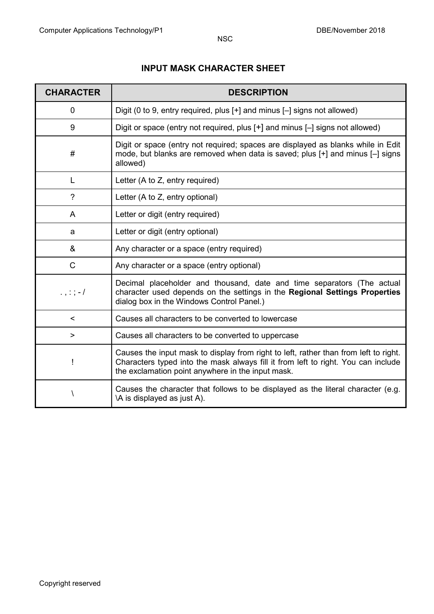#### **INPUT MASK CHARACTER SHEET**

| <b>CHARACTER</b> | <b>DESCRIPTION</b>                                                                                                                                                                                                             |
|------------------|--------------------------------------------------------------------------------------------------------------------------------------------------------------------------------------------------------------------------------|
| $\Omega$         | Digit (0 to 9, entry required, plus [+] and minus [-] signs not allowed)                                                                                                                                                       |
| 9                | Digit or space (entry not required, plus [+] and minus [-] signs not allowed)                                                                                                                                                  |
| #                | Digit or space (entry not required; spaces are displayed as blanks while in Edit<br>mode, but blanks are removed when data is saved; plus [+] and minus [-] signs<br>allowed)                                                  |
| L                | Letter (A to Z, entry required)                                                                                                                                                                                                |
| $\overline{?}$   | Letter (A to Z, entry optional)                                                                                                                                                                                                |
| A                | Letter or digit (entry required)                                                                                                                                                                                               |
| a                | Letter or digit (entry optional)                                                                                                                                                                                               |
| &                | Any character or a space (entry required)                                                                                                                                                                                      |
| $\mathsf C$      | Any character or a space (entry optional)                                                                                                                                                                                      |
| $\ldots$ ; ; - / | Decimal placeholder and thousand, date and time separators (The actual<br>character used depends on the settings in the Regional Settings Properties<br>dialog box in the Windows Control Panel.)                              |
| $\,<\,$          | Causes all characters to be converted to lowercase                                                                                                                                                                             |
| $\geq$           | Causes all characters to be converted to uppercase                                                                                                                                                                             |
| $\mathbf{I}$     | Causes the input mask to display from right to left, rather than from left to right.<br>Characters typed into the mask always fill it from left to right. You can include<br>the exclamation point anywhere in the input mask. |
| J                | Causes the character that follows to be displayed as the literal character (e.g.<br>\A is displayed as just A).                                                                                                                |